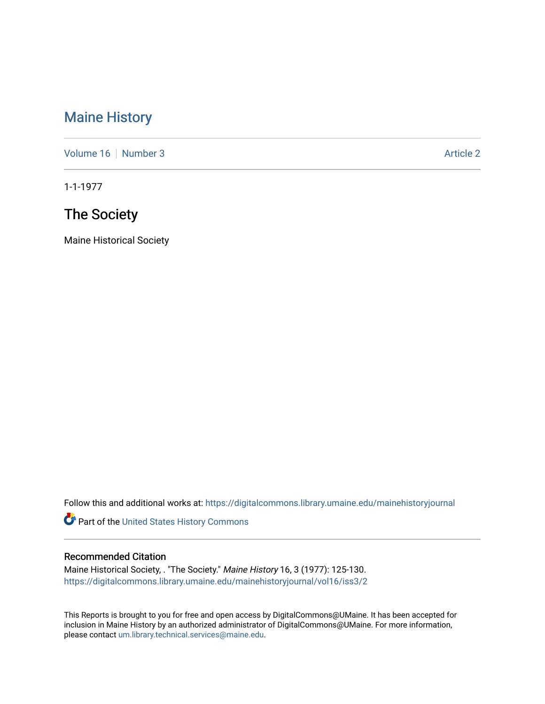# [Maine History](https://digitalcommons.library.umaine.edu/mainehistoryjournal)

[Volume 16](https://digitalcommons.library.umaine.edu/mainehistoryjournal/vol16) [Number 3](https://digitalcommons.library.umaine.edu/mainehistoryjournal/vol16/iss3) Article 2

1-1-1977

# The Society

Maine Historical Society

Follow this and additional works at: [https://digitalcommons.library.umaine.edu/mainehistoryjournal](https://digitalcommons.library.umaine.edu/mainehistoryjournal?utm_source=digitalcommons.library.umaine.edu%2Fmainehistoryjournal%2Fvol16%2Fiss3%2F2&utm_medium=PDF&utm_campaign=PDFCoverPages) 

Part of the [United States History Commons](http://network.bepress.com/hgg/discipline/495?utm_source=digitalcommons.library.umaine.edu%2Fmainehistoryjournal%2Fvol16%2Fiss3%2F2&utm_medium=PDF&utm_campaign=PDFCoverPages) 

#### Recommended Citation

Maine Historical Society, . "The Society." Maine History 16, 3 (1977): 125-130. [https://digitalcommons.library.umaine.edu/mainehistoryjournal/vol16/iss3/2](https://digitalcommons.library.umaine.edu/mainehistoryjournal/vol16/iss3/2?utm_source=digitalcommons.library.umaine.edu%2Fmainehistoryjournal%2Fvol16%2Fiss3%2F2&utm_medium=PDF&utm_campaign=PDFCoverPages)

This Reports is brought to you for free and open access by DigitalCommons@UMaine. It has been accepted for inclusion in Maine History by an authorized administrator of DigitalCommons@UMaine. For more information, please contact [um.library.technical.services@maine.edu.](mailto:um.library.technical.services@maine.edu)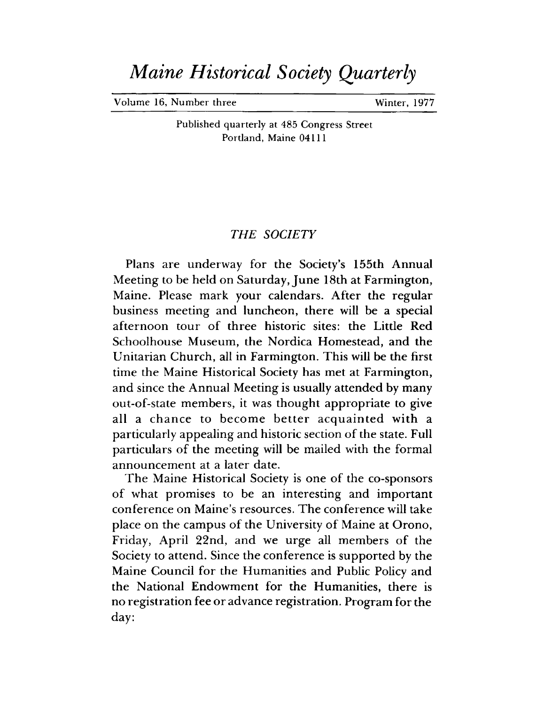# *Maine Historical Society Quarterly*

**Volume 16, Number three Winter, 1977** 

**Published quarterly at 485 Congress Street Portland, Maine 04111**

## *THE SOCIETY*

Plans are underway for the Society's 155th Annual Meeting to be held on Saturday, June 18th at Farmington, Maine. Please mark your calendars. After the regular business meeting and luncheon, there will be a special afternoon tour of three historic sites: the Little Red Schoolhouse Museum, the Nordica Homestead, and the Unitarian Church, all in Farmington. This will be the first time the Maine Historical Society has met at Farmington, and since the Annual Meeting is usually attended by many out-of-state members, it was thought appropriate to give all a chance to become better acquainted with a particularly appealing and historic section of the state. Full particulars of the meeting will be mailed with the formal announcement at a later date.

The Maine Historical Society is one of the co-sponsors of what promises to be an interesting and important conference on Maine's resources. The conference will take place on the campus of the University of Maine at Orono, Friday, April 22nd, and we urge all members of the Society to attend. Since the conference is supported by the Maine Council for the Humanities and Public Policy and the National Endowment for the Humanities, there is no registration fee or advance registration. Program for the day: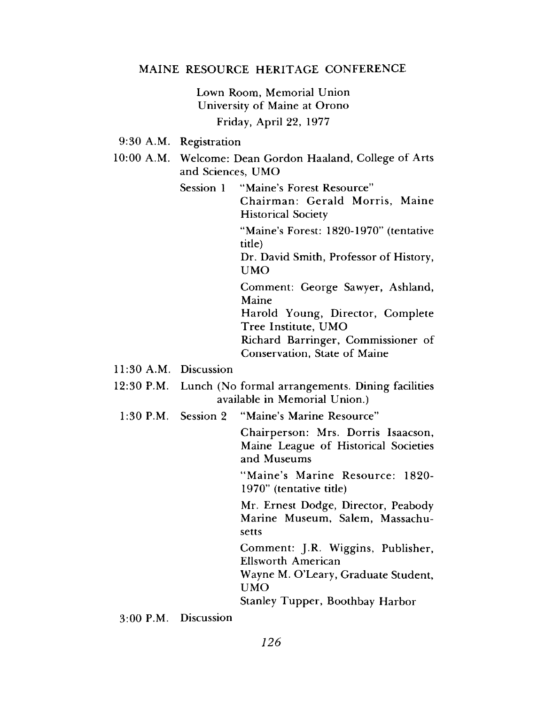#### **MAINE RESOURCE HERITAGE CONFERENCE**

**Lown Room, Memorial Union University of Maine at Orono Friday, April 22, 1977**

**9:30 A.M. Registration**

10:00 A.M. Welcome: Dean Gordon Haaland, College of Arts **and Sciences, UMO**

**Session 1 "Maine's Forest Resource"**

**Chairman: Gerald Morris, Maine Historical Society**

**"Maine's Forest: 1820-1970" (tentative title)**

Dr. David Smith, Professor of History, **UMO**

**Comment: George Sawyer, Ashland, Maine**

**Harold Young, Director, Complete Tree Institute, UMO**

**Richard Barringer, Commissioner of Conservation, State of Maine** 

- **11:30 A.M. Discussion**
- **12:30 P.M. Lunch (No formal arrangements. Dining facilities available in Memorial Union.)**
- **1:30 P.M. Session 2 "Maine's Marine Resource"**

**Chairperson: Mrs. Dorris Isaacson, Maine League of Historical Societies and Museums**

**"M aine's Marine Resource: 1820- 1970" (tentative title)**

**Mr. Ernest Dodge, Director, Peabody Marine Museum, Salem, Massachusetts**

**Comment: J.R. Wiggins, Publisher, Ellsworth American**

**Wayne M. O'Leary, Graduate Student, UMO**

**Stanley Tupper, Boothbay Harbor**

**3:00 P.M. Discussion**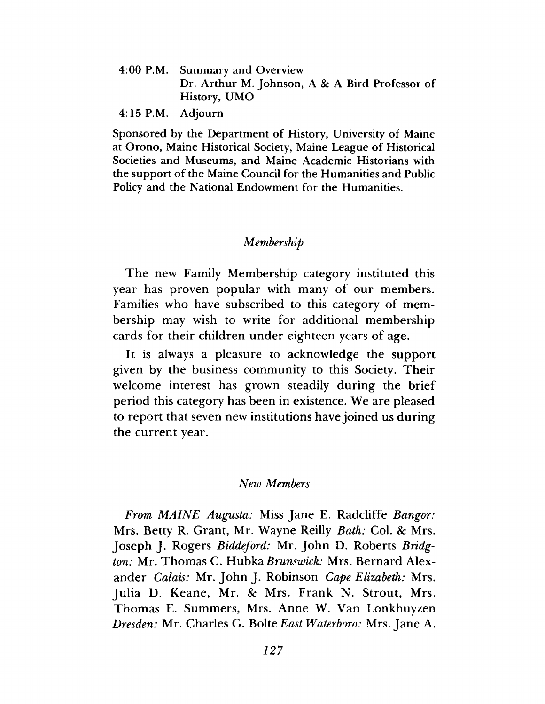- 4:00 P.M. Summary and Overview Dr. Arthur M. Johnson, A & A Bird Professor of History, UMO
- 4:15 P.M. Adjourn

Sponsored by the Department of History, University of Maine at Orono, Maine Historical Society, Maine League of Historical Societies and Museums, and Maine Academic Historians with the support of the Maine Council for the Humanities and Public Policy and the National Endowment for the Humanities.

### *Membership*

The new Family Membership category instituted this year has proven popular with many of our members. Families who have subscribed to this category of membership may wish to write for additional membership cards for their children under eighteen years of age.

It is always a pleasure to acknowledge the support given by the business community to this Society. Their welcome interest has grown steadily during the brief period this category has been in existence. We are pleased to report that seven new institutions have joined us during the current year.

#### *New Members*

*From MAINE Augusta:* Miss Jane E. Radcliffe *Bangor:* Mrs. Betty R. Grant, Mr. Wayne Reilly *Bath:* Col. & Mrs. Joseph J. Rogers *Biddeford:* Mr. John D. Roberts *Bridgton:* Mr. Thomas C. Hubka *Brunswick:* Mrs. Bernard Alexander *Calais:* Mr. John J. Robinson *Cape Elizabeth:* Mrs. Julia D. Keane, Mr. & Mrs. Frank N. Strout, Mrs. Thomas E. Summers, Mrs. Anne W. Van Lonkhuyzen *Dresden:* Mr. Charles G. Bolte *East Waterboro:* Mrs. Jane A.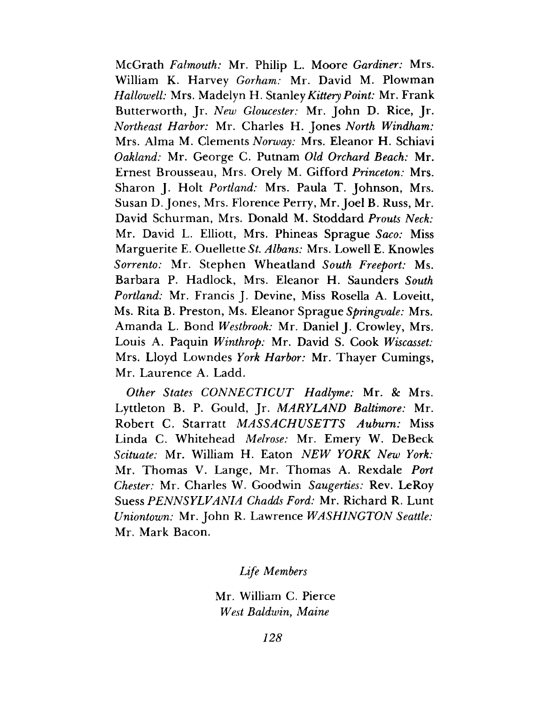McGrath *Falmouth:* Mr. Philip L. Moore *Gardiner:* Mrs. William K. Harvey *Gorham:* Mr. David M. Plowman *Hallowell:* Mrs. Madelyn H. Stanley*Kittery Point:* Mr. Frank Butterworth, Jr. *New Gloucester:* Mr. John D. Rice, Jr. *Northeast Harbor:* Mr. Charles H. Jones *North Windham:* Mrs. Alma M. Clements *Norway:* Mrs. Eleanor H. Schiavi *Oakland:* Mr. George C. Putnam *Old Orchard Beach:* Mr. Ernest Brousseau, Mrs. Orely M. Gifford *Princeton:* Mrs. Sharon J, Holt *Portland:* Mrs. Paula T. Johnson, Mrs. Susan D. Jones, Mrs. Florence Perry, Mr. Joel B. Russ, Mr. David Schurman, Mrs. Donald M. Stoddard *Prouts Neck:* Mr. David L. Elliott, Mrs. Phineas Sprague *Saco:* Miss Marguerite E. Ouellette *St. Albans:* Mrs. Lowell E. Knowles *Sorrento:* Mr. Stephen Wheatland *South Freeport:* Ms. Barbara P. Hadlock, Mrs. Eleanor H. Saunders *South Portland:* Mr. Francis J. Devine, Miss Rosella A. Loveitt, Ms. Rita B. Preston, Ms. Eleanor Sprague *Springvale:* Mrs. Amanda L. Bond *Westbrook:* Mr. Daniel J. Crowley, Mrs. Louis A. Paquin *Winthrop:* Mr. David S. Cook *Wiscasset:* Mrs. Lloyd Lowndes *York Harbor:* Mr. Thayer Cumings, Mr. Laurence A. Ladd.

*Other States CONNECTICUT Hadlyme:* Mr. & Mrs. Lyttleton B. P. Gould, Jr. *MARYLAND Baltimore:* Mr. Robert C. Starratt *MASSACHUSETTS Auburn:* Miss Linda C. Whitehead *Melrose:* Mr. Emery W. DeBeck *Scituate:* Mr. William H. Eaton *NEW YORK New York:* Mr. Thomas V. Lange, Mr. Thomas A. Rexdale *Port Chester:* Mr. Charles W. Goodwin *Saugerties:* Rev. LeRoy Suess *PENNSYLVANIA Chadds Ford:* Mr. Richard R. Lunt *Uniontown:* Mr. John R. Lawrence *WASHINGTON Seattle:* Mr. Mark Bacon.

## *Life Members*

Mr. William C. Pierce *West Baldwin*, *Maine*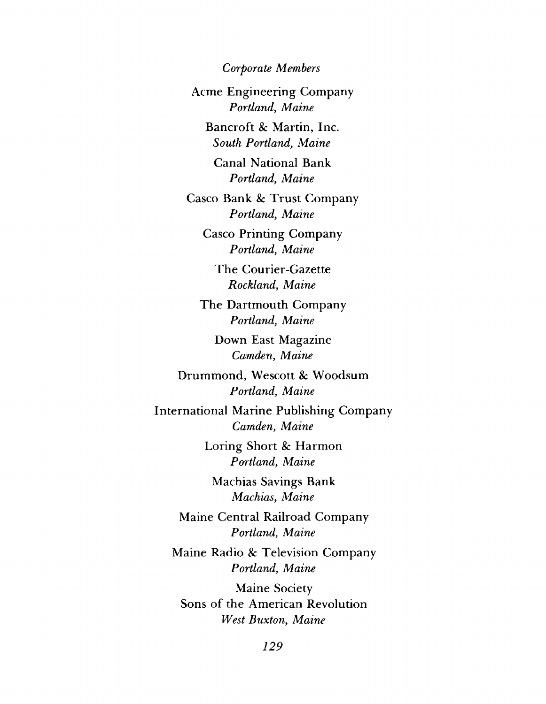*Corporate Members*

Acme Engineering Company *Portland, Maine*

Bancroft *8c* Martin, Inc. *South Portland, Maine*

Canal National Bank *Portland, Maine*

Casco Bank & Trust Company *Portland*, *Maine*

Casco Printing Company *Portland, Maine*

The Courier-Gazette *Rockland, Maine*

The Dartmouth Company *Portland, Maine*

Down East Magazine *Camden, Maine*

Drummond, Wescott *8c* Woodsum *Portland, Maine*

International Marine Publishing Company *Camden, Maine*

> Loring Short *8c* Harmon *Portland, Maine*

Machias Savings Bank *Machias, Maine*

Maine Central Railroad Company *Portland, Maine*

Maine Radio & Television Company *Portland, Maine*

Maine Society Sons of the American Revolution *West Buxton, Maine*